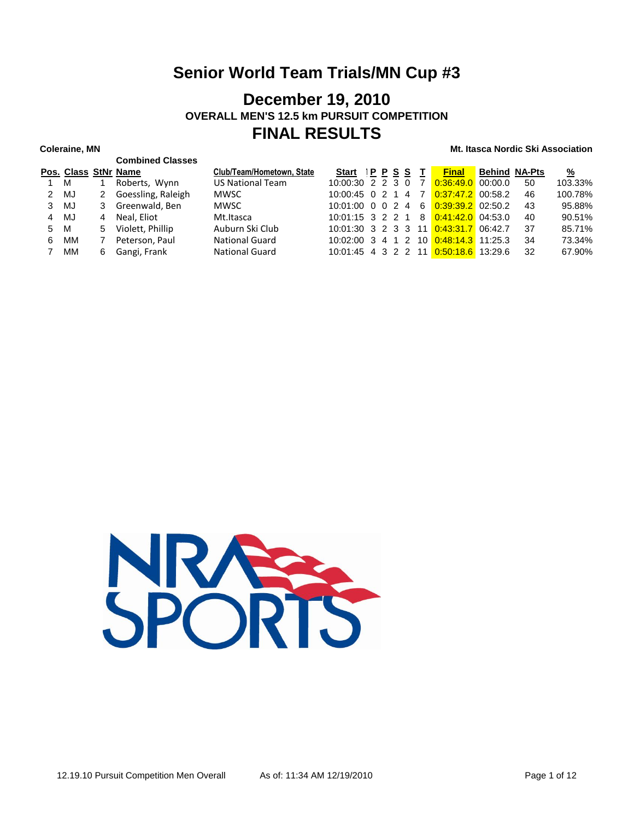### **December 19, 2010 OVERALL MEN'S 12.5 km PURSUIT COMPETITION FINAL RESULTS**

**Combined Classes**

|      |    |                | Pos. Class StNr Name | Club/Team/Hometown, State | Start <u>IPPSST</u> |  | <b>Final</b>                                 | <b>Behind NA-Pts</b> |     | <u>%</u> |
|------|----|----------------|----------------------|---------------------------|---------------------|--|----------------------------------------------|----------------------|-----|----------|
| 1 M  |    |                | Roberts, Wynn        | <b>US National Team</b>   | $10:00:30$ 2 2 3 0  |  | 7 0:36:49.0 00:00.0                          |                      | 50  | 103.33%  |
| 2 MJ |    | 2              | Goessling, Raleigh   | <b>MWSC</b>               | $10:00:45$ 0 2 1 4  |  | 7 0:37:47.2 00:58.2                          |                      | 46  | 100.78%  |
| 3    | MJ |                | 3 Greenwald, Ben     | MWSC                      |                     |  | 10:01:00 0 0 2 4 6 0:39:39.2 02:50.2         |                      | 43  | 95.88%   |
| 4    | MJ | $\overline{4}$ | Neal. Eliot          | Mt.Itasca                 |                     |  | $10:01:15$ 3 2 2 1 8 $0:41:42.0$ 04:53.0     |                      | 40  | 90.51%   |
| 5    | M  | 5              | Violett, Phillip     | Auburn Ski Club           |                     |  | 10:01:30 3 2 3 3 11 0:43:31.7 06:42.7        |                      | 37  | 85.71%   |
| 6    | MМ | 7              | Peterson, Paul       | <b>National Guard</b>     |                     |  | 10:02:00 3 4 1 2 10 0:48:14.3 11:25.3        |                      | 34  | 73.34%   |
|      | ΜМ | 6              | Gangi, Frank         | <b>National Guard</b>     |                     |  | 10:01:45  4  3  2  2  11  0:50:18.6  13:29.6 |                      | -32 | 67.90%   |
|      |    |                |                      |                           |                     |  |                                              |                      |     |          |

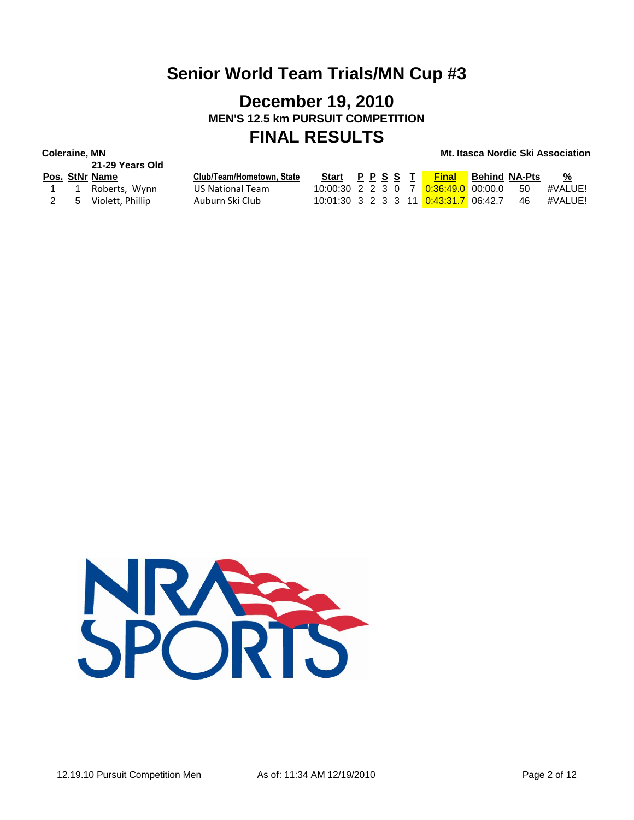## **December 19, 2010 MEN'S 12.5 km PURSUIT COMPETITION FINAL RESULTS**

# **21-29 Years Old**

|  | Pos. StNr Name       | Club/Team/Hometown, State | Start IPPSST |  |  | <b>Final</b>                            | <b>Behind NA-Pts</b> |      | %       |
|--|----------------------|---------------------------|--------------|--|--|-----------------------------------------|----------------------|------|---------|
|  | 1 1 Roberts, Wynn    | US National Team          |              |  |  | 10:00:30 2 2 3 0 7 0:36:49.0 00:00.0 50 |                      |      | #VALUE! |
|  | 2 5 Violett, Phillip | Auburn Ski Club           |              |  |  | 10:01:30 3 2 3 3 11 0:43:31.7 06:42.7   |                      | - 46 | #VALUE! |

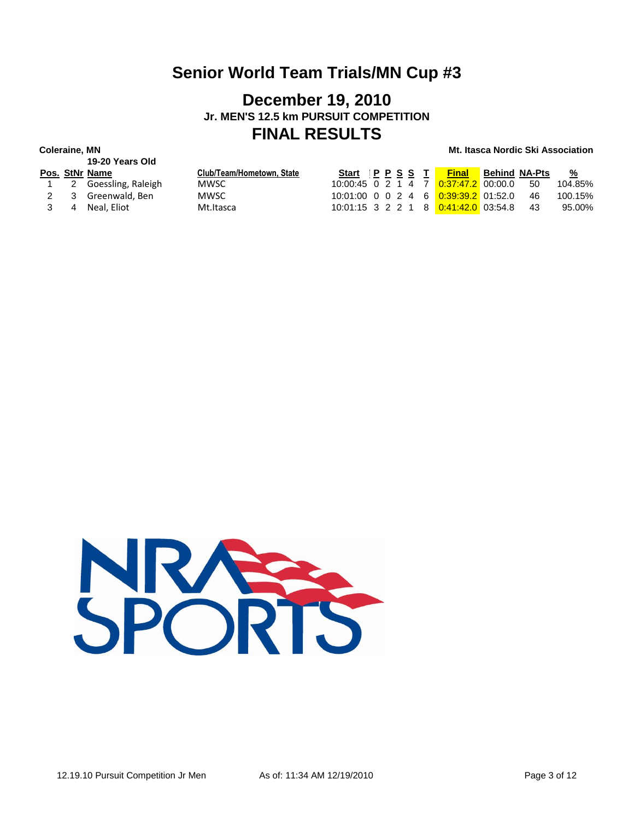### **December 19, 2010 Jr. MEN'S 12.5 km PURSUIT COMPETITION FINAL RESULTS**

# **19-20 Years Old**

|  | Pos. StNr Name         | Club/Team/Hometown, State |  |  | Start P P S S T Final Behind NA-Pts     |      | %       |
|--|------------------------|---------------------------|--|--|-----------------------------------------|------|---------|
|  | 1 2 Goessling, Raleigh | MWSC.                     |  |  | 10:00:45 0 2 1 4 7 0:37:47.2 00:00.0    | - 50 | 104.85% |
|  | 2 3 Greenwald, Ben     | MWSC.                     |  |  | 10:01:00 0 0 2 4 6 0:39:39.2 01:52.0    | - 46 | 100.15% |
|  | 3 4 Neal. Eliot        | Mt.Itasca                 |  |  | 10:01:15 3 2 2 1 8 0:41:42.0 03:54.8 43 |      | 95.00%  |

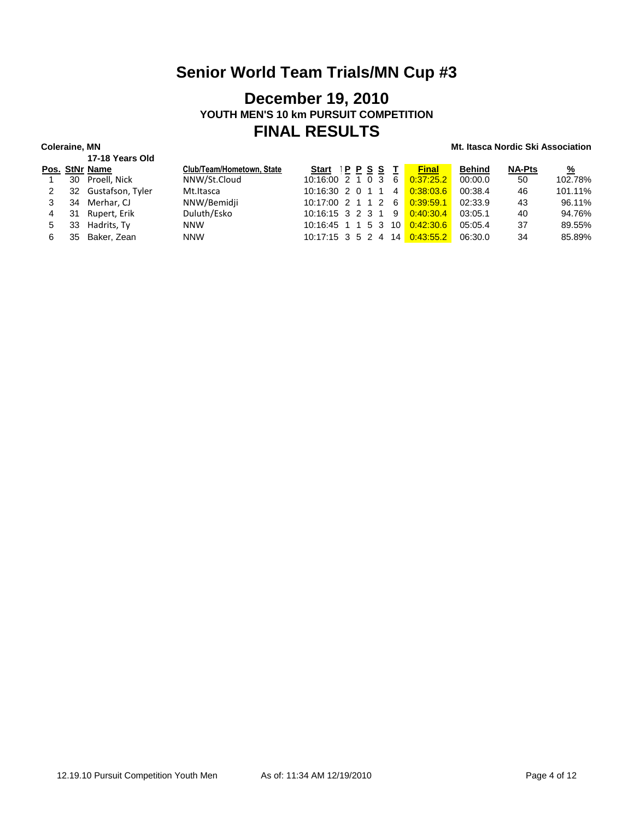### **December 19, 2010 YOUTH MEN'S 10 km PURSUIT COMPETITION FINAL RESULTS**

|   |    | 17-18 Years Old     |                           |                                  |              |               |               |               |
|---|----|---------------------|---------------------------|----------------------------------|--------------|---------------|---------------|---------------|
|   |    | Pos. StNr Name      | Club/Team/Hometown, State | Start IPPSST                     | <b>Final</b> | <b>Behind</b> | <b>NA-Pts</b> | $\frac{9}{6}$ |
|   |    | 30 Proell, Nick     | NNW/St.Cloud              | $10:16:00$ 2 1 0 3 6             | 0:37:25.2    | 00:00.0       | 50            | 102.78%       |
|   |    | 32 Gustafson, Tyler | Mt.Itasca                 | $10:16:30$ 2 0 1 1 4             | 0:38:03.6    | 00:38.4       | 46            | 101.11%       |
|   | 34 | Merhar, CJ          | NNW/Bemidji               | $10:17:00$ 2 1 1 2 6 $0:39:59.1$ |              | 02:33.9       | 43            | 96.11%        |
| 4 | 31 | Rupert, Erik        | Duluth/Esko               | 10:16:15 3 2 3 1 9 0:40:30.4     |              | 03:05.1       | 40            | 94.76%        |
| 5 | 33 | Hadrits, Ty         | <b>NNW</b>                | 10:16:45 1 1 5 3 10 0:42:30.6    |              | 05:05.4       | 37            | 89.55%        |
| 6 | 35 | Baker. Zean         | <b>NNW</b>                | 10:17:15 3 5 2 4 14 0:43:55.2    |              | 06:30.0       | 34            | 85.89%        |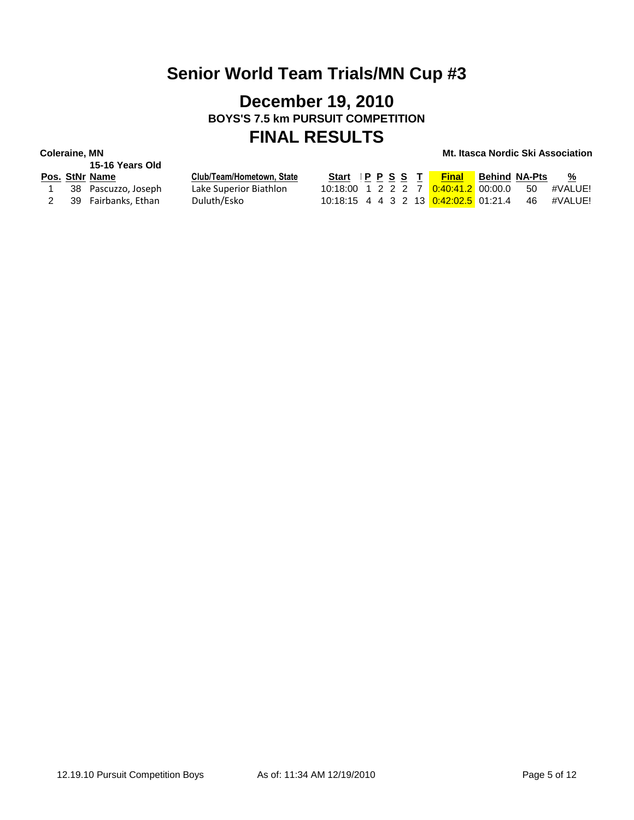## **December 19, 2010 BOYS'S 7.5 km PURSUIT COMPETITION FINAL RESULTS**

|   | 15-16 Years Old     |
|---|---------------------|
|   | Pos. StNr Name      |
| 1 | 38 Pascuzzo, Joseph |

|              | 15-16 Years Old     |                           |
|--------------|---------------------|---------------------------|
|              | 'os. StNr Name      | Club/Team/Hometown, State |
| $\mathbf{1}$ | 38 Pascuzzo, Joseph | Lake Superior Biathlon    |
| 2            | 39 Fairbanks, Ethan | Duluth/Esko               |

|  | os. StNr Name       | Club/Team/Hometown. State | Start IPPSST |  |  | <b>Final Behind NA-Pts</b> |      | %       |
|--|---------------------|---------------------------|--------------|--|--|----------------------------|------|---------|
|  | 38 Pascuzzo, Joseph | Lake Superior Biathlon    |              |  |  |                            | - 50 | #VALUE! |
|  | 39 Fairbanks, Ethan | Duluth/Esko               |              |  |  |                            | - 46 | #VALUE! |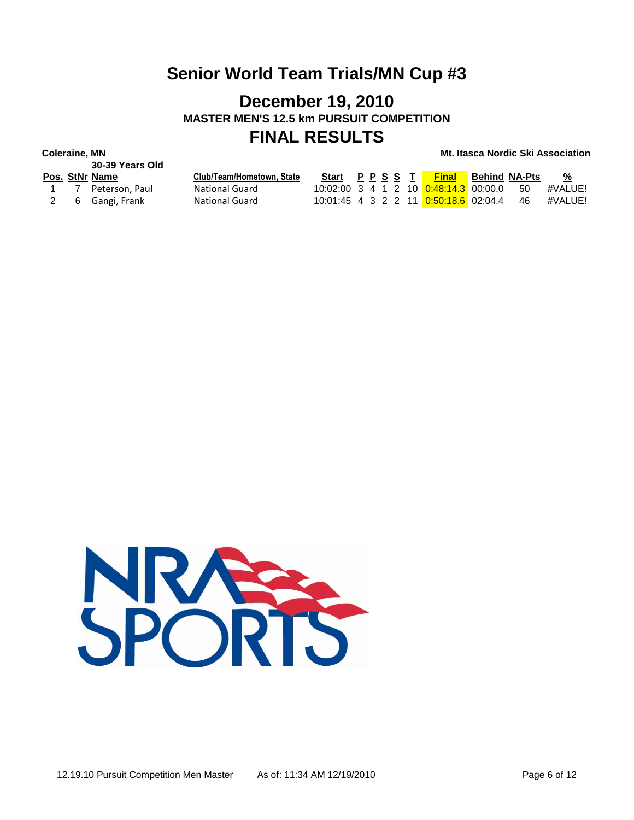### **December 19, 2010 MASTER MEN'S 12.5 km PURSUIT COMPETITION FINAL RESULTS**

# **30-39 Years Old**

|  | Pos. StNr Name     | Club/Team/Hometown, State | Start IPPSST |  |  | <b>Final</b>                             | <b>Behind NA-Pts</b> | %       |
|--|--------------------|---------------------------|--------------|--|--|------------------------------------------|----------------------|---------|
|  | 1 7 Peterson, Paul | <b>National Guard</b>     |              |  |  | 10:02:00 3 4 1 2 10 0:48:14.3 00:00.0 50 |                      | #VALUE! |
|  | 2 6 Gangi, Frank   | <b>National Guard</b>     |              |  |  |                                          |                      | #VALUE! |

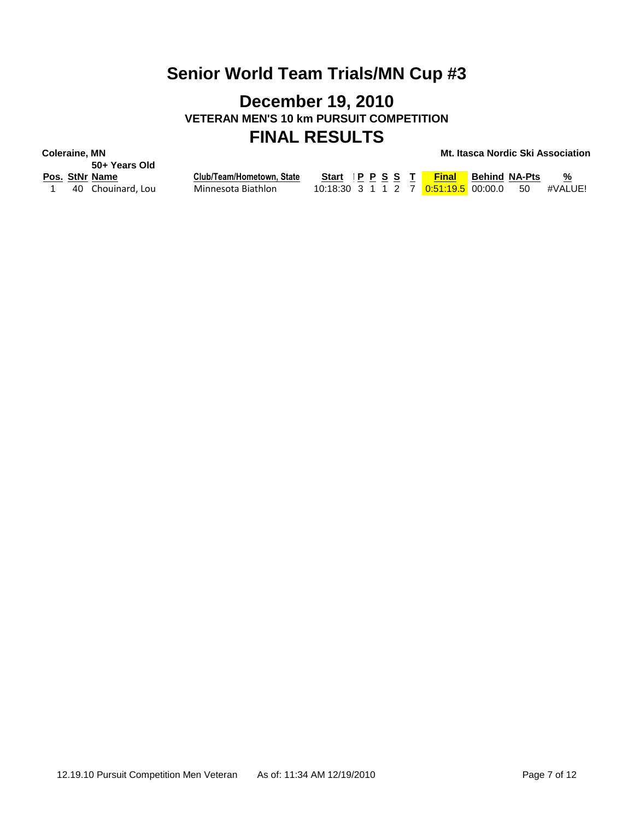### **December 19, 2010 VETERAN MEN'S 10 km PURSUIT COMPETITION FINAL RESULTS**

**Coleraine, MN Mt. Itasca Nordic Ski Association**

**50+ Years Old**

**Pos. StNr Name Club/Team/Hometown, State Start Ski Time P P S S T Final Behind NA-Pts %** 1 40 Chouinard, Lou Minnesota Biathlon 10:18:30 3 1 1 2 7 <mark>0:51:19.5</mark> 00:00.0 50 #VALUE!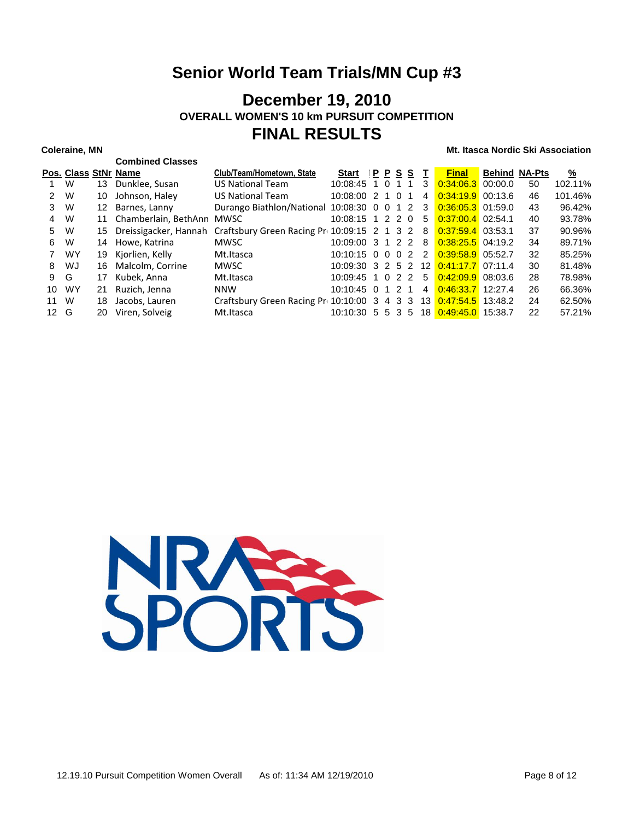### **December 19, 2010 OVERALL WOMEN'S 10 km PURSUIT COMPETITION FINAL RESULTS**

|               |           |    | <b>Combined Classes</b> |                                             |                                            |      |          |          |                   |                     |                      |    |          |
|---------------|-----------|----|-------------------------|---------------------------------------------|--------------------------------------------|------|----------|----------|-------------------|---------------------|----------------------|----|----------|
|               |           |    | Pos. Class StNr Name    | Club/Team/Hometown, State                   | <b>Start</b>                               | IPPS |          | s        | т                 | <b>Final</b>        | <b>Behind NA-Pts</b> |    | <u>%</u> |
|               | W         | 13 | Dunklee, Susan          | <b>US National Team</b>                     | 10:08:45                                   | 1    | $\Omega$ |          | 3                 | $0.34:06.3$ 00:00.0 |                      | 50 | 102.11%  |
| $\mathcal{P}$ | W         | 10 | Johnson, Haley          | <b>US National Team</b>                     | 10:08:00 2                                 |      | 1 0      |          | 4                 | $0.34:19.9$ 00:13.6 |                      | 46 | 101.46%  |
| 3             | W         | 12 | Barnes, Lanny           | Durango Biathlon/National                   | 10:08:30 0                                 |      | $\Omega$ | 1 2      | 3                 | $0.36:05.3$ 01:59.0 |                      | 43 | 96.42%   |
| 4             | W         | 11 | Chamberlain, BethAnn    | MWSC                                        | $10:08:15$ 1 2 2                           |      |          | $\Omega$ | 5                 | $0:37:00.4$ 02:54.1 |                      | 40 | 93.78%   |
| 5             | W         | 15 | Dreissigacker, Hannah   | Craftsbury Green Racing Pr 10:09:15 2 1 3 2 |                                            |      |          |          | 8                 | $0.37:59.4$ 03:53.1 |                      | 37 | 90.96%   |
| 6             | W         | 14 | Howe, Katrina           | <b>MWSC</b>                                 | $10:09:00$ 3 1 2 2                         |      |          |          | 8                 | $0:38:25.5$ 04:19.2 |                      | 34 | 89.71%   |
|               | <b>WY</b> | 19 | Kjorlien, Kelly         | Mt.Itasca                                   | $10:10:15$ 0 0 0 2                         |      |          |          | $\mathcal{P}$     | $0:39:58.9$ 05:52.7 |                      | 32 | 85.25%   |
| 8             | WJ        | 16 | Malcolm. Corrine        | <b>MWSC</b>                                 | $10:09:30 \quad 3 \quad 2 \quad 5 \quad 2$ |      |          |          | $12 \overline{ }$ | $0:41:17.7$ 07:11.4 |                      | 30 | 81.48%   |
| 9             | G         | 17 | Kubek, Anna             | Mt.Itasca                                   | $10:09:45$ 1 0 2 2                         |      |          |          | 5                 | $0:42:09.9$ 08:03.6 |                      | 28 | 78.98%   |
| 10            | <b>WY</b> | 21 | Ruzich, Jenna           | <b>NNW</b>                                  | $10:10:45$ 0                               |      | 1 2      | 1        | 4                 | $0.4633.7$ 12:27.4  |                      | 26 | 66.36%   |
| 11            | W         | 18 | Jacobs, Lauren          | Craftsbury Green Racing Pr 10:10:00 3       |                                            |      | 43       | 3        | 13                | $0:47:54.5$ 13:48.2 |                      | 24 | 62.50%   |
| 12            | G         | 20 | Viren, Solveig          | Mt.Itasca                                   | 10:10:30 5 5 3                             |      |          | 5        | 18                | $0.49:45.0$ 15:38.7 |                      | 22 | 57.21%   |

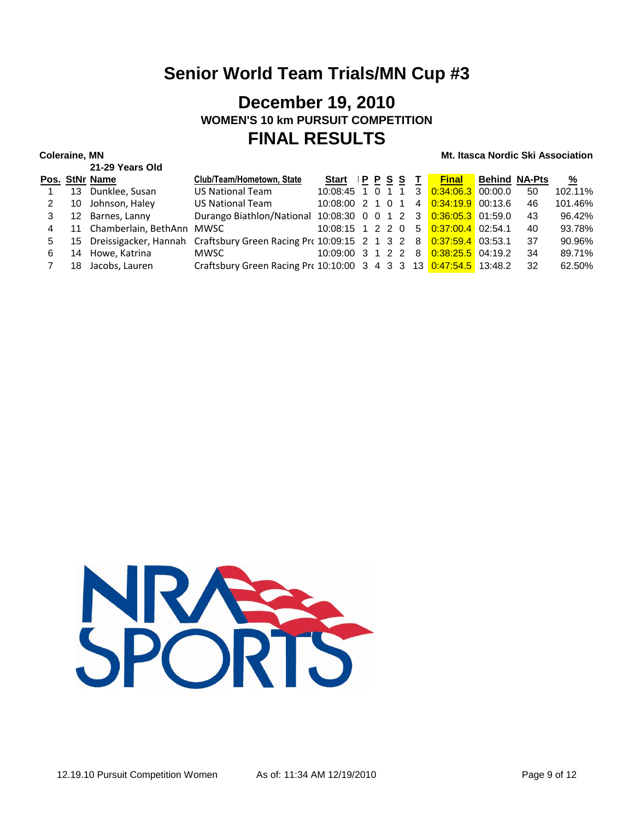### **December 19, 2010 WOMEN'S 10 km PURSUIT COMPETITION FINAL RESULTS**

|   |    | 21-29 Years Old              |                                                                                           |             |  |  |                                          |                      |     |               |
|---|----|------------------------------|-------------------------------------------------------------------------------------------|-------------|--|--|------------------------------------------|----------------------|-----|---------------|
|   |    | Pos. StNr Name               | Club/Team/Hometown, State                                                                 | Start PPSST |  |  | <b>Final</b>                             | <b>Behind NA-Pts</b> |     | $\frac{9}{6}$ |
|   |    | 13 Dunklee, Susan            | <b>US National Team</b>                                                                   |             |  |  | 10:08:45 1 0 1 1 3 0:34:06.3 00:00.0     |                      | 50  | 102.11%       |
| 2 |    | 10 Johnson, Haley            | <b>US National Team</b>                                                                   |             |  |  | 10:08:00 2 1 0 1 4 0:34:19.9 00:13.6     |                      | 46  | 101.46%       |
| 3 |    | 12 Barnes, Lanny             | Durango Biathlon/National 10:08:30 0 0 1 2 3 0:36:05.3 01:59.0                            |             |  |  |                                          |                      | 43  | 96.42%        |
| 4 |    | 11 Chamberlain, BethAnn MWSC |                                                                                           |             |  |  | $10:08:15$ 1 2 2 0 5 $0:37:00.4$ 02:54.1 |                      | 40  | 93.78%        |
| 5 |    |                              | 15 Dreissigacker, Hannah Craftsbury Green Racing Pro 10:09:15 2 1 3 2 8 0:37:59.4 03:53.1 |             |  |  |                                          |                      | -37 | 90.96%        |
| 6 |    | 14 Howe, Katrina             | <b>MWSC</b>                                                                               |             |  |  | 10:09:00 3 1 2 2 8 0:38:25.5 04:19.2     |                      | -34 | 89.71%        |
|   | 18 | Jacobs. Lauren               | Craftsbury Green Racing Pro 10:10:00 3 4 3 3 13 0:47:54.5 13:48.2                         |             |  |  |                                          |                      | -32 | 62.50%        |

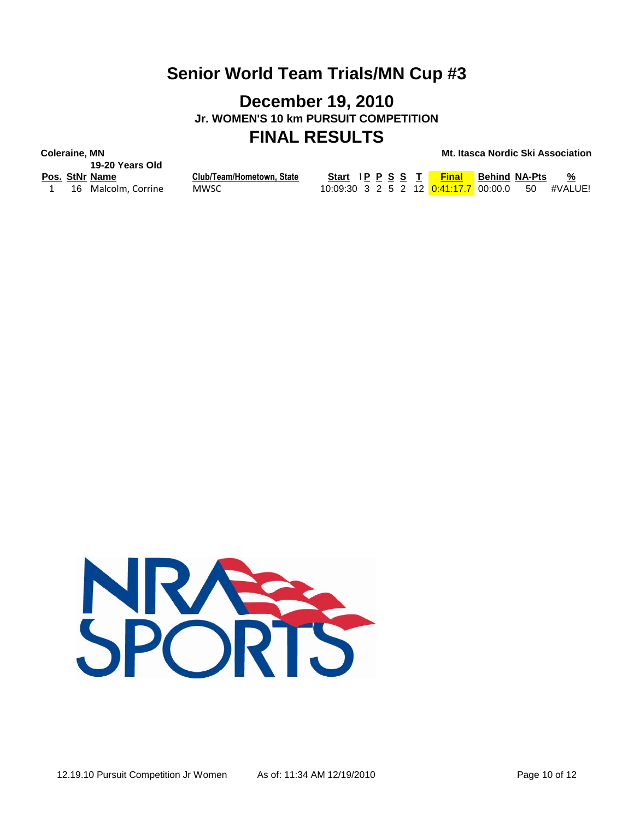### **December 19, 2010 Jr. WOMEN'S 10 km PURSUIT COMPETITION FINAL RESULTS**

**Coleraine, MN Mt. Itasca Nordic Ski Association**

**19-20 Years Old**

**Pos. StNr Name Club/Team/Hometown, State Start Ski Time P P S S T Final Behind NA-Pts %** 1 16 Malcolm, Corrine MWSC 10:09:30 3 2 5 2 12 <mark>0:41:17.7</mark> 00:00.0 50 #VALUE!

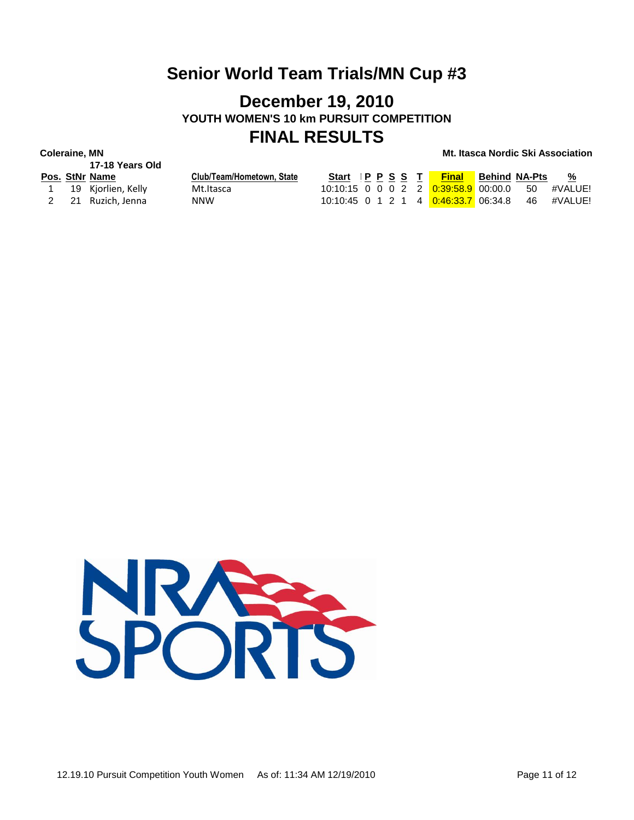### **December 19, 2010 YOUTH WOMEN'S 10 km PURSUIT COMPETITION FINAL RESULTS**

**17-18 Years Old**

|  | Pos. StNr Name       | Club/Team/Hometown, State |  |  | Start IPPSS T <mark>Final</mark>                       | Behind NA-Pts | %       |
|--|----------------------|---------------------------|--|--|--------------------------------------------------------|---------------|---------|
|  | 1 19 Kjorlien, Kelly | Mt.Itasca                 |  |  | $10:10:15$ 0 0 0 2 2 <mark>0:39:58.9</mark> 00:00.0 50 |               | #VALUE! |
|  | 2 21 Ruzich, Jenna   | NNW                       |  |  | 10:10:45 0 1 2 1 4 0:46:33.7 06:34.8 46 #VALUE!        |               |         |